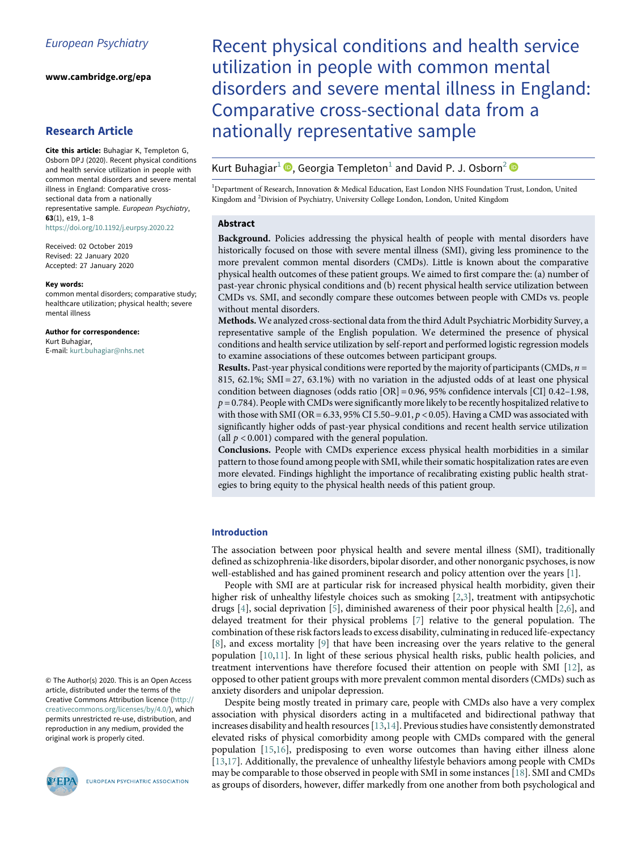www.cambridge.org/epa

# Research Article

<span id="page-0-1"></span><span id="page-0-0"></span>Cite this article: Buhagiar K, Templeton G, Osborn DPJ (2020). Recent physical conditions and health service utilization in people with common mental disorders and severe mental illness in England: Comparative crosssectional data from a nationally representative sample. European Psychiatry, 63(1), e19, 1–8 <https://doi.org/10.1192/j.eurpsy.2020.22>

Received: 02 October 2019

Revised: 22 January 2020 Accepted: 27 January 2020

#### Key words:

common mental disorders; comparative study; healthcare utilization; physical health; severe mental illness

Author for correspondence:

Kurt Buhagiar, E-mail: [kurt.buhagiar@nhs.net](mailto:kurt.buhagiar@nhs.net)

© The Author(s) 2020. This is an Open Access article, distributed under the terms of the Creative Commons Attribution licence [\(http://](http://creativecommons.org/licenses/by/4.0/) [creativecommons.org/licenses/by/4.0/\)](http://creativecommons.org/licenses/by/4.0/), which permits unrestricted re-use, distribution, and reproduction in any medium, provided the original work is properly cited.



EUROPEAN PSYCHIATRIC ASSOCIATION

Recent physical conditions and health service utilization in people with common mental disorders and severe mental illness in England: Comparative cross-sectional data from a nationally representative sample

# Kurt Buhagiar<sup>[1](#page-0-0)</sup> **D**, Georgia Templeton<sup>1</sup> and David P. J. Osborn<sup>[2](#page-0-1)</sup> **D**

<sup>1</sup>Department of Research, Innovation & Medical Education, East London NHS Foundation Trust, London, United Kingdom and <sup>2</sup>Division of Psychiatry, University College London, London, United Kingdom

# Abstract

Background. Policies addressing the physical health of people with mental disorders have historically focused on those with severe mental illness (SMI), giving less prominence to the more prevalent common mental disorders (CMDs). Little is known about the comparative physical health outcomes of these patient groups. We aimed to first compare the: (a) number of past-year chronic physical conditions and (b) recent physical health service utilization between CMDs vs. SMI, and secondly compare these outcomes between people with CMDs vs. people without mental disorders.

Methods. We analyzed cross-sectional data from the third Adult Psychiatric Morbidity Survey, a representative sample of the English population. We determined the presence of physical conditions and health service utilization by self-report and performed logistic regression models to examine associations of these outcomes between participant groups.

**Results.** Past-year physical conditions were reported by the majority of participants (CMDs,  $n =$ 815, 62.1%; SMI = 27, 63.1%) with no variation in the adjusted odds of at least one physical condition between diagnoses (odds ratio [OR] = 0.96, 95% confidence intervals [CI] 0.42–1.98,  $p = 0.784$ ). People with CMDs were significantly more likely to be recently hospitalized relative to with those with SMI (OR = 6.33, 95% CI 5.50-9.01,  $p < 0.05$ ). Having a CMD was associated with significantly higher odds of past-year physical conditions and recent health service utilization (all  $p < 0.001$ ) compared with the general population.

Conclusions. People with CMDs experience excess physical health morbidities in a similar pattern to those found among people with SMI, while their somatic hospitalization rates are even more elevated. Findings highlight the importance of recalibrating existing public health strategies to bring equity to the physical health needs of this patient group.

# Introduction

The association between poor physical health and severe mental illness (SMI), traditionally defined as schizophrenia-like disorders, bipolar disorder, and other nonorganic psychoses, is now well-established and has gained prominent research and policy attention over the years [\[1\]](#page-6-0).

People with SMI are at particular risk for increased physical health morbidity, given their higher risk of unhealthy lifestyle choices such as smoking [[2](#page-6-1),[3](#page-6-2)], treatment with antipsychotic drugs [[4](#page-6-3)], social deprivation [\[5\]](#page-6-4), diminished awareness of their poor physical health [\[2,](#page-6-1)[6](#page-6-5)], and delayed treatment for their physical problems [\[7\]](#page-6-6) relative to the general population. The combination of these risk factors leads to excess disability, culminating in reduced life-expectancy [[8\]](#page-6-7), and excess mortality [[9](#page-6-8)] that have been increasing over the years relative to the general population [[10,](#page-6-9)[11\]](#page-6-10). In light of these serious physical health risks, public health policies, and treatment interventions have therefore focused their attention on people with SMI [[12\]](#page-6-11), as opposed to other patient groups with more prevalent common mental disorders (CMDs) such as anxiety disorders and unipolar depression.

Despite being mostly treated in primary care, people with CMDs also have a very complex association with physical disorders acting in a multifaceted and bidirectional pathway that increases disability and health resources [[13,](#page-6-12)[14\]](#page-6-13). Previous studies have consistently demonstrated elevated risks of physical comorbidity among people with CMDs compared with the general population [[15,](#page-6-14)[16\]](#page-6-15), predisposing to even worse outcomes than having either illness alone [[13](#page-6-12)[,17](#page-6-16)]. Additionally, the prevalence of unhealthy lifestyle behaviors among people with CMDs may be comparable to those observed in people with SMI in some instances [[18\]](#page-6-17). SMI and CMDs as groups of disorders, however, differ markedly from one another from both psychological and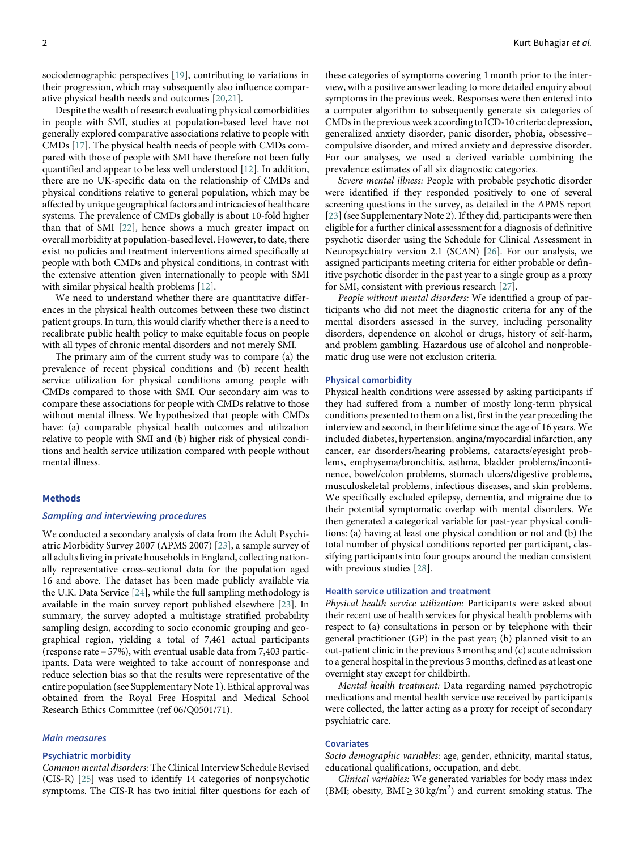sociodemographic perspectives [\[19](#page-6-18)], contributing to variations in their progression, which may subsequently also influence comparative physical health needs and outcomes [\[20](#page-6-19)[,21\]](#page-6-20).

Despite the wealth of research evaluating physical comorbidities in people with SMI, studies at population-based level have not generally explored comparative associations relative to people with CMDs [\[17](#page-6-16)]. The physical health needs of people with CMDs compared with those of people with SMI have therefore not been fully quantified and appear to be less well understood [[12\]](#page-6-11). In addition, there are no UK-specific data on the relationship of CMDs and physical conditions relative to general population, which may be affected by unique geographical factors and intricacies of healthcare systems. The prevalence of CMDs globally is about 10-fold higher than that of SMI [\[22](#page-6-21)], hence shows a much greater impact on overall morbidity at population-based level. However, to date, there exist no policies and treatment interventions aimed specifically at people with both CMDs and physical conditions, in contrast with the extensive attention given internationally to people with SMI with similar physical health problems [\[12](#page-6-11)].

We need to understand whether there are quantitative differences in the physical health outcomes between these two distinct patient groups. In turn, this would clarify whether there is a need to recalibrate public health policy to make equitable focus on people with all types of chronic mental disorders and not merely SMI.

The primary aim of the current study was to compare (a) the prevalence of recent physical conditions and (b) recent health service utilization for physical conditions among people with CMDs compared to those with SMI. Our secondary aim was to compare these associations for people with CMDs relative to those without mental illness. We hypothesized that people with CMDs have: (a) comparable physical health outcomes and utilization relative to people with SMI and (b) higher risk of physical conditions and health service utilization compared with people without mental illness.

## Methods

## Sampling and interviewing procedures

We conducted a secondary analysis of data from the Adult Psychiatric Morbidity Survey 2007 (APMS 2007) [\[23\]](#page-6-22), a sample survey of all adults living in private households in England, collecting nationally representative cross-sectional data for the population aged 16 and above. The dataset has been made publicly available via the U.K. Data Service [[24\]](#page-6-23), while the full sampling methodology is available in the main survey report published elsewhere [[23\]](#page-6-22). In summary, the survey adopted a multistage stratified probability sampling design, according to socio economic grouping and geographical region, yielding a total of 7,461 actual participants (response rate = 57%), with eventual usable data from 7,403 participants. Data were weighted to take account of nonresponse and reduce selection bias so that the results were representative of the entire population (see Supplementary Note 1). Ethical approval was obtained from the Royal Free Hospital and Medical School Research Ethics Committee (ref 06/Q0501/71).

## Main measures

## Psychiatric morbidity

Common mental disorders: The Clinical Interview Schedule Revised (CIS-R) [[25](#page-6-24)] was used to identify 14 categories of nonpsychotic symptoms. The CIS-R has two initial filter questions for each of these categories of symptoms covering 1 month prior to the interview, with a positive answer leading to more detailed enquiry about symptoms in the previous week. Responses were then entered into a computer algorithm to subsequently generate six categories of CMDs in the previous week according to ICD-10 criteria: depression, generalized anxiety disorder, panic disorder, phobia, obsessive– compulsive disorder, and mixed anxiety and depressive disorder. For our analyses, we used a derived variable combining the prevalence estimates of all six diagnostic categories.

Severe mental illness: People with probable psychotic disorder were identified if they responded positively to one of several screening questions in the survey, as detailed in the APMS report [[23](#page-6-22)] (see Supplementary Note 2). If they did, participants were then eligible for a further clinical assessment for a diagnosis of definitive psychotic disorder using the Schedule for Clinical Assessment in Neuropsychiatry version 2.1 (SCAN) [[26\]](#page-6-25). For our analysis, we assigned participants meeting criteria for either probable or definitive psychotic disorder in the past year to a single group as a proxy for SMI, consistent with previous research [[27](#page-6-26)].

People without mental disorders: We identified a group of participants who did not meet the diagnostic criteria for any of the mental disorders assessed in the survey, including personality disorders, dependence on alcohol or drugs, history of self-harm, and problem gambling. Hazardous use of alcohol and nonproblematic drug use were not exclusion criteria.

## Physical comorbidity

Physical health conditions were assessed by asking participants if they had suffered from a number of mostly long-term physical conditions presented to them on a list, first in the year preceding the interview and second, in their lifetime since the age of 16 years. We included diabetes, hypertension, angina/myocardial infarction, any cancer, ear disorders/hearing problems, cataracts/eyesight problems, emphysema/bronchitis, asthma, bladder problems/incontinence, bowel/colon problems, stomach ulcers/digestive problems, musculoskeletal problems, infectious diseases, and skin problems. We specifically excluded epilepsy, dementia, and migraine due to their potential symptomatic overlap with mental disorders. We then generated a categorical variable for past-year physical conditions: (a) having at least one physical condition or not and (b) the total number of physical conditions reported per participant, classifying participants into four groups around the median consistent with previous studies [\[28](#page-6-27)].

#### Health service utilization and treatment

Physical health service utilization: Participants were asked about their recent use of health services for physical health problems with respect to (a) consultations in person or by telephone with their general practitioner (GP) in the past year; (b) planned visit to an out-patient clinic in the previous 3 months; and (c) acute admission to a general hospital in the previous 3 months, defined as at least one overnight stay except for childbirth.

Mental health treatment: Data regarding named psychotropic medications and mental health service use received by participants were collected, the latter acting as a proxy for receipt of secondary psychiatric care.

## Covariates

Socio demographic variables: age, gender, ethnicity, marital status, educational qualifications, occupation, and debt.

Clinical variables: We generated variables for body mass index (BMI; obesity,  $BMI \geq 30 \text{ kg/m}^2$ ) and current smoking status. The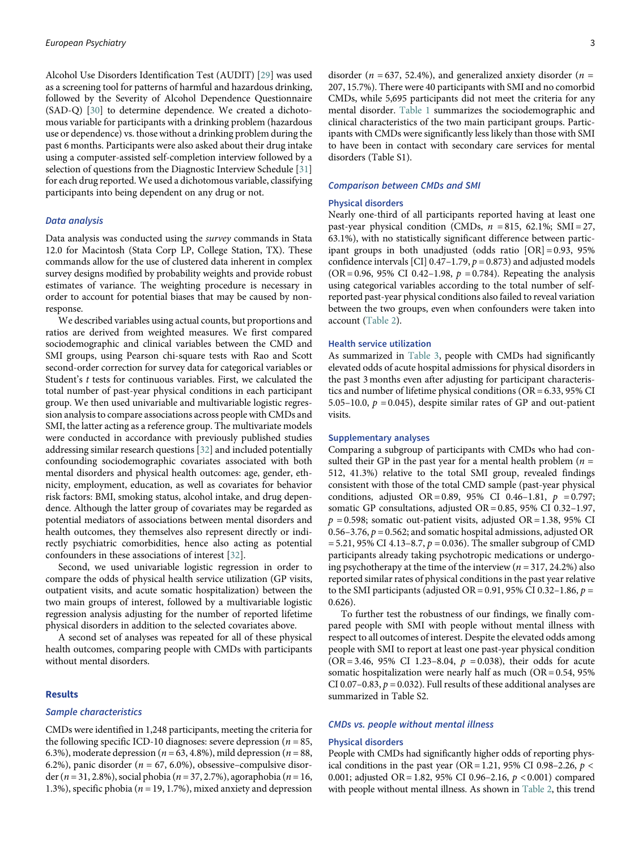Alcohol Use Disorders Identification Test (AUDIT) [\[29](#page-6-28)] was used as a screening tool for patterns of harmful and hazardous drinking, followed by the Severity of Alcohol Dependence Questionnaire (SAD-Q) [\[30](#page-6-29)] to determine dependence. We created a dichotomous variable for participants with a drinking problem (hazardous use or dependence) vs. those without a drinking problem during the past 6 months. Participants were also asked about their drug intake using a computer-assisted self-completion interview followed by a selection of questions from the Diagnostic Interview Schedule [\[31](#page-6-30)] for each drug reported. We used a dichotomous variable, classifying participants into being dependent on any drug or not.

## Data analysis

Data analysis was conducted using the survey commands in Stata 12.0 for Macintosh (Stata Corp LP, College Station, TX). These commands allow for the use of clustered data inherent in complex survey designs modified by probability weights and provide robust estimates of variance. The weighting procedure is necessary in order to account for potential biases that may be caused by nonresponse.

We described variables using actual counts, but proportions and ratios are derived from weighted measures. We first compared sociodemographic and clinical variables between the CMD and SMI groups, using Pearson chi-square tests with Rao and Scott second-order correction for survey data for categorical variables or Student's t tests for continuous variables. First, we calculated the total number of past-year physical conditions in each participant group. We then used univariable and multivariable logistic regression analysis to compare associations across people with CMDs and SMI, the latter acting as a reference group. The multivariate models were conducted in accordance with previously published studies addressing similar research questions [[32\]](#page-6-31) and included potentially confounding sociodemographic covariates associated with both mental disorders and physical health outcomes: age, gender, ethnicity, employment, education, as well as covariates for behavior risk factors: BMI, smoking status, alcohol intake, and drug dependence. Although the latter group of covariates may be regarded as potential mediators of associations between mental disorders and health outcomes, they themselves also represent directly or indirectly psychiatric comorbidities, hence also acting as potential confounders in these associations of interest [[32](#page-6-31)].

Second, we used univariable logistic regression in order to compare the odds of physical health service utilization (GP visits, outpatient visits, and acute somatic hospitalization) between the two main groups of interest, followed by a multivariable logistic regression analysis adjusting for the number of reported lifetime physical disorders in addition to the selected covariates above.

A second set of analyses was repeated for all of these physical health outcomes, comparing people with CMDs with participants without mental disorders.

## Results

# Sample characteristics

CMDs were identified in 1,248 participants, meeting the criteria for the following specific ICD-10 diagnoses: severe depression ( $n = 85$ , 6.3%), moderate depression ( $n = 63, 4.8$ %), mild depression ( $n = 88$ , 6.2%), panic disorder ( $n = 67, 6.0%$ ), obsessive–compulsive disorder ( $n = 31, 2.8\%$ ), social phobia ( $n = 37, 2.7\%$ ), agoraphobia ( $n = 16$ , 1.3%), specific phobia ( $n = 19, 1.7%$ ), mixed anxiety and depression

disorder ( $n = 637, 52.4\%$ ), and generalized anxiety disorder ( $n =$ 207, 15.7%). There were 40 participants with SMI and no comorbid CMDs, while 5,695 participants did not meet the criteria for any mental disorder. [Table 1](#page-3-0) summarizes the sociodemographic and clinical characteristics of the two main participant groups. Participants with CMDs were significantly less likely than those with SMI to have been in contact with secondary care services for mental disorders (Table S1).

## Comparison between CMDs and SMI

## Physical disorders

Nearly one-third of all participants reported having at least one past-year physical condition (CMDs,  $n = 815$ , 62.1%; SMI = 27, 63.1%), with no statistically significant difference between participant groups in both unadjusted (odds ratio [OR] = 0.93, 95% confidence intervals [CI]  $0.47-1.79$ ,  $p = 0.873$  and adjusted models (OR = 0.96, 95% CI 0.42–1.98,  $p = 0.784$ ). Repeating the analysis using categorical variables according to the total number of selfreported past-year physical conditions also failed to reveal variation between the two groups, even when confounders were taken into account ([Table 2\)](#page-3-1).

## Health service utilization

As summarized in [Table 3,](#page-4-0) people with CMDs had significantly elevated odds of acute hospital admissions for physical disorders in the past 3 months even after adjusting for participant characteristics and number of lifetime physical conditions (OR = 6.33, 95% CI 5.05–10.0,  $p = 0.045$ ), despite similar rates of GP and out-patient visits.

#### Supplementary analyses

Comparing a subgroup of participants with CMDs who had consulted their GP in the past year for a mental health problem  $(n =$ 512, 41.3%) relative to the total SMI group, revealed findings consistent with those of the total CMD sample (past-year physical conditions, adjusted OR = 0.89, 95% CI 0.46-1.81,  $p = 0.797$ ; somatic GP consultations, adjusted OR = 0.85, 95% CI 0.32–1.97,  $p = 0.598$ ; somatic out-patient visits, adjusted OR = 1.38, 95% CI 0.56–3.76,  $p = 0.562$ ; and somatic hospital admissions, adjusted OR  $= 5.21, 95\% \text{ CI } 4.13-8.7, p = 0.036$ . The smaller subgroup of CMD participants already taking psychotropic medications or undergoing psychotherapy at the time of the interview ( $n = 317, 24.2\%$ ) also reported similar rates of physical conditions in the past year relative to the SMI participants (adjusted OR =  $0.91$ , 95% CI 0.32-1.86,  $p =$ 0.626).

To further test the robustness of our findings, we finally compared people with SMI with people without mental illness with respect to all outcomes of interest. Despite the elevated odds among people with SMI to report at least one past-year physical condition (OR = 3.46, 95% CI 1.23-8.04,  $p = 0.038$ ), their odds for acute somatic hospitalization were nearly half as much (OR = 0.54, 95% CI 0.07–0.83,  $p = 0.032$ ). Full results of these additional analyses are summarized in Table S2.

## CMDs vs. people without mental illness

## Physical disorders

People with CMDs had significantly higher odds of reporting physical conditions in the past year (OR = 1.21, 95% CI 0.98-2.26,  $p$  < 0.001; adjusted OR = 1.82, 95% CI 0.96–2.16, p < 0.001) compared with people without mental illness. As shown in [Table 2](#page-3-1), this trend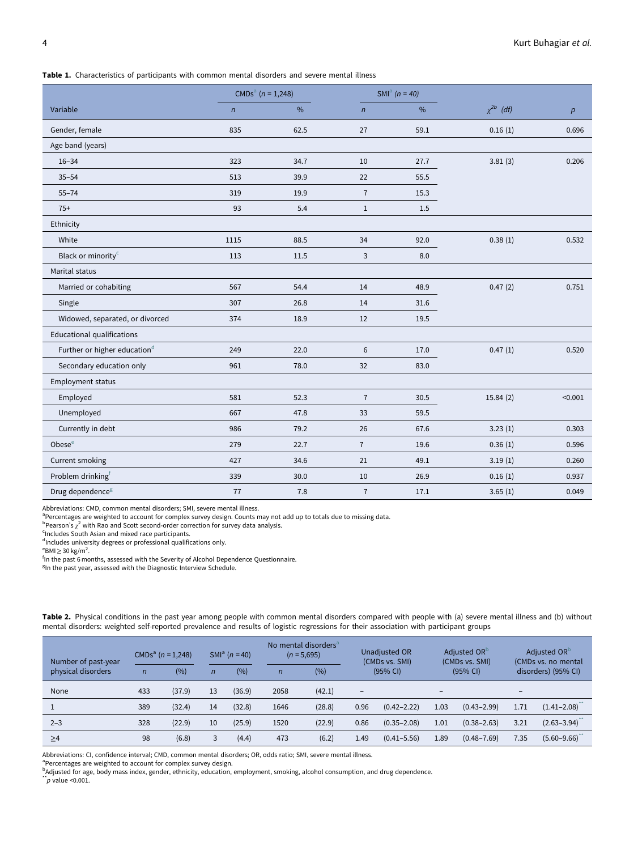<span id="page-3-0"></span>Table 1. Characteristics of participants with common mental disorders and severe mental illness

|                                   | CMDs <sup>a</sup> ( $n = 1,248$ ) |               | SMI <sup>a</sup> (n = 40) |               |                  |                  |
|-----------------------------------|-----------------------------------|---------------|---------------------------|---------------|------------------|------------------|
| Variable                          | $\sqrt{n}$                        | $\frac{9}{6}$ | $\overline{n}$            | $\frac{0}{0}$ | $\chi^{2b}$ (df) | $\boldsymbol{p}$ |
| Gender, female                    | 835                               | 62.5          | 27                        | 59.1          | 0.16(1)          | 0.696            |
| Age band (years)                  |                                   |               |                           |               |                  |                  |
| $16 - 34$                         | 323                               | 34.7          | 10                        | 27.7          | 3.81(3)          | 0.206            |
| $35 - 54$                         | 513                               | 39.9          | 22                        | 55.5          |                  |                  |
| $55 - 74$                         | 319                               | 19.9          | $\overline{7}$            | 15.3          |                  |                  |
| $75+$                             | 93                                | 5.4           | $\mathbf{1}$              | 1.5           |                  |                  |
| Ethnicity                         |                                   |               |                           |               |                  |                  |
| White                             | 1115                              | 88.5          | 34                        | 92.0          | 0.38(1)          | 0.532            |
| Black or minority <sup>c</sup>    | 113                               | 11.5          | 3                         | 8.0           |                  |                  |
| Marital status                    |                                   |               |                           |               |                  |                  |
| Married or cohabiting             | 567                               | 54.4          | 14                        | 48.9          | 0.47(2)          | 0.751            |
| Single                            | 307                               | 26.8          | 14                        | 31.6          |                  |                  |
| Widowed, separated, or divorced   | 374                               | 18.9          | 12                        | 19.5          |                  |                  |
| <b>Educational qualifications</b> |                                   |               |                           |               |                  |                  |
| Further or higher educationd      | 249                               | 22.0          | $\sqrt{6}$                | 17.0          | 0.47(1)          | 0.520            |
| Secondary education only          | 961                               | 78.0          | 32                        | 83.0          |                  |                  |
| Employment status                 |                                   |               |                           |               |                  |                  |
| Employed                          | 581                               | 52.3          | $\overline{7}$            | 30.5          | 15.84(2)         | < 0.001          |
| Unemployed                        | 667                               | 47.8          | 33                        | 59.5          |                  |                  |
| Currently in debt                 | 986                               | 79.2          | 26                        | 67.6          | 3.23(1)          | 0.303            |
| Obese <sup>e</sup>                | 279                               | 22.7          | $\overline{7}$            | 19.6          | 0.36(1)          | 0.596            |
| Current smoking                   | 427                               | 34.6          | 21                        | 49.1          | 3.19(1)          | 0.260            |
| Problem drinkingf                 | 339                               | 30.0          | 10                        | 26.9          | 0.16(1)          | 0.937            |
| Drug dependence <sup>g</sup>      | 77                                | 7.8           | $\overline{7}$            | 17.1          | 3.65(1)          | 0.049            |

<span id="page-3-2"></span>Abbreviations: CMD, common mental disorders; SMI, severe mental illness.

<sup>a</sup> Percentages are weighted to account for complex survey design. Counts may not add up to totals due to missing data.<br><sup>b</sup> Pearson's χ<sup>2</sup> with Rao and Scott second-order correction for survey data analysis.<br><sup>Shockudes So</sup>

<span id="page-3-3"></span><sup>c</sup>Includes South Asian and mixed race participants.

<span id="page-3-5"></span><span id="page-3-4"></span>dIncludes university degrees or professional qualifications only.

 $\mathrm{e}^{\mathrm{e}}$ BMI $\geq$  30 kg/m<sup>2</sup>.

<span id="page-3-7"></span><span id="page-3-6"></span>In the past 6 months, assessed with the Severity of Alcohol Dependence Questionnaire.

<sup>g</sup>In the past year, assessed with the Diagnostic Interview Schedule.

<span id="page-3-1"></span>Table 2. Physical conditions in the past year among people with common mental disorders compared with people with (a) severe mental illness and (b) without mental disorders: weighted self-reported prevalence and results of logistic regressions for their association with participant groups

| Number of past-year | CMDs <sup>a</sup> ( $n = 1,248$ ) |        | SMI <sup>a</sup> ( $n = 40$ ) |        | No mental disorders <sup>a</sup><br>$(n = 5,695)$ |        | Unadjusted OR<br>(CMDs vs. SMI) |                 | Adjusted OR <sup>D</sup><br>(CMDs vs. SMI) |                 | Adjusted OR <sup>D</sup><br>(CMDs vs. no mental |                 |
|---------------------|-----------------------------------|--------|-------------------------------|--------|---------------------------------------------------|--------|---------------------------------|-----------------|--------------------------------------------|-----------------|-------------------------------------------------|-----------------|
| physical disorders  | $\overline{n}$                    | (%)    | $\overline{n}$                | (%)    | n                                                 | (%)    | (95% CI)                        |                 | (95% CI)                                   |                 | disorders) (95% CI)                             |                 |
| None                | 433                               | (37.9) | 13                            | (36.9) | 2058                                              | (42.1) | $\qquad \qquad -$               |                 | $\overline{\phantom{0}}$                   |                 | -                                               |                 |
|                     | 389                               | (32.4) | 14                            | (32.8) | 1646                                              | (28.8) | 0.96                            | $(0.42 - 2.22)$ | 1.03                                       | $(0.43 - 2.99)$ | 1.71                                            | $(1.41 - 2.08)$ |
| $2 - 3$             | 328                               | (22.9) | 10                            | (25.9) | 1520                                              | (22.9) | 0.86                            | $(0.35 - 2.08)$ | 1.01                                       | $(0.38 - 2.63)$ | 3.21                                            | $(2.63 - 3.94)$ |
| $\geq 4$            | 98                                | (6.8)  |                               | (4.4)  | 473                                               | (6.2)  | 1.49                            | $(0.41 - 5.56)$ | 1.89                                       | $(0.48 - 7.69)$ | 7.35                                            | $(5.60 - 9.66)$ |

<span id="page-3-8"></span>Abbreviations: CI, confidence interval; CMD, common mental disorders; OR, odds ratio; SMI, severe mental illness.

<sup>a</sup>Percentages are weighted to account for complex survey design.

<span id="page-3-10"></span><span id="page-3-9"></span><sup>b</sup>Adjusted for age, body mass index, gender, ethnicity, education, employment, smoking, alcohol consumption, and drug dependence.

 $\dddot{p}$  value <0.001.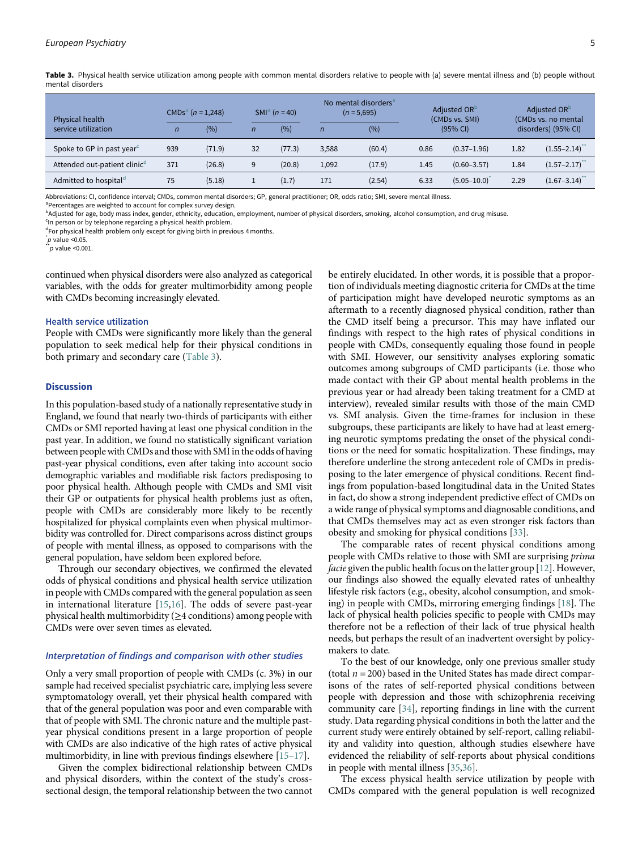<span id="page-4-0"></span>Table 3. Physical health service utilization among people with common mental disorders relative to people with (a) severe mental illness and (b) people without mental disorders

| Physical health                          | CMDs <sup>a</sup> ( $n = 1,248$ ) |        | SMI <sup>a</sup> ( <i>n</i> = 40) |        | No mental disorders <sup>a</sup><br>$(n = 5,695)$ |        | Adjusted OR <sup>D</sup><br>(CMDs vs. SMI) |                 | Adjusted OR <sup>D</sup><br>(CMDs vs. no mental) |                 |
|------------------------------------------|-----------------------------------|--------|-----------------------------------|--------|---------------------------------------------------|--------|--------------------------------------------|-----------------|--------------------------------------------------|-----------------|
| service utilization                      | $\mathsf{n}$                      | (%)    | $\overline{n}$                    | (9/0)  | $\overline{n}$                                    | (9/6)  | (95% CI)                                   |                 | disorders) (95% CI)                              |                 |
| Spoke to GP in past year <sup>c</sup>    | 939                               | (71.9) | 32                                | (77.3) | 3,588                                             | (60.4) | 0.86                                       | $(0.37 - 1.96)$ | 1.82                                             | $(1.55 - 2.14)$ |
| Attended out-patient clinic <sup>a</sup> | 371                               | (26.8) | 9                                 | (20.8) | 1,092                                             | (17.9) | 1.45                                       | $(0.60 - 3.57)$ | 1.84                                             | $(1.57 - 2.17)$ |
| Admitted to hospital <sup>d</sup>        | 75                                | (5.18) |                                   | (1.7)  | 171                                               | (2.54) | 6.33                                       | $(5.05 - 10.0)$ | 2.29                                             | $(1.67 - 3.14)$ |

<span id="page-4-1"></span>Abbreviations: CI, confidence interval; CMDs, common mental disorders; GP, general practitioner; OR, odds ratio; SMI, severe mental illness.

<sup>a</sup>Percentages are weighted to account for complex survey design.

<span id="page-4-3"></span><span id="page-4-2"></span><sup>b</sup>Adjusted for age, body mass index, gender, ethnicity, education, employment, number of physical disorders, smoking, alcohol consumption, and drug misuse.<br><sup>C</sup>la person or by telephone regarding a physical bealth problem

<sup>c</sup>In person or by telephone regarding a physical health problem.

<span id="page-4-6"></span><span id="page-4-5"></span><sup>d</sup>For physical health problem only except for giving birth in previous 4 months.

<span id="page-4-4"></span> $\dot{p}$  value <0.05.<br> $\dot{p}$  value <0.001.

continued when physical disorders were also analyzed as categorical variables, with the odds for greater multimorbidity among people with CMDs becoming increasingly elevated.

#### Health service utilization

People with CMDs were significantly more likely than the general population to seek medical help for their physical conditions in both primary and secondary care ([Table 3\)](#page-4-0).

# **Discussion**

In this population-based study of a nationally representative study in England, we found that nearly two-thirds of participants with either CMDs or SMI reported having at least one physical condition in the past year. In addition, we found no statistically significant variation between people with CMDs and those with SMI in the odds of having past-year physical conditions, even after taking into account socio demographic variables and modifiable risk factors predisposing to poor physical health. Although people with CMDs and SMI visit their GP or outpatients for physical health problems just as often, people with CMDs are considerably more likely to be recently hospitalized for physical complaints even when physical multimorbidity was controlled for. Direct comparisons across distinct groups of people with mental illness, as opposed to comparisons with the general population, have seldom been explored before.

Through our secondary objectives, we confirmed the elevated odds of physical conditions and physical health service utilization in people with CMDs compared with the general population as seen in international literature [\[15](#page-6-14),[16\]](#page-6-15). The odds of severe past-year physical health multimorbidity ( $\geq$ 4 conditions) among people with CMDs were over seven times as elevated.

## Interpretation of findings and comparison with other studies

Only a very small proportion of people with CMDs (c. 3%) in our sample had received specialist psychiatric care, implying less severe symptomatology overall, yet their physical health compared with that of the general population was poor and even comparable with that of people with SMI. The chronic nature and the multiple pastyear physical conditions present in a large proportion of people with CMDs are also indicative of the high rates of active physical multimorbidity, in line with previous findings elsewhere [15–17].

Given the complex bidirectional relationship between CMDs and physical disorders, within the context of the study's crosssectional design, the temporal relationship between the two cannot be entirely elucidated. In other words, it is possible that a proportion of individuals meeting diagnostic criteria for CMDs at the time of participation might have developed neurotic symptoms as an aftermath to a recently diagnosed physical condition, rather than the CMD itself being a precursor. This may have inflated our findings with respect to the high rates of physical conditions in people with CMDs, consequently equaling those found in people with SMI. However, our sensitivity analyses exploring somatic outcomes among subgroups of CMD participants (i.e. those who made contact with their GP about mental health problems in the previous year or had already been taking treatment for a CMD at interview), revealed similar results with those of the main CMD vs. SMI analysis. Given the time-frames for inclusion in these subgroups, these participants are likely to have had at least emerging neurotic symptoms predating the onset of the physical conditions or the need for somatic hospitalization. These findings, may therefore underline the strong antecedent role of CMDs in predisposing to the later emergence of physical conditions. Recent findings from population-based longitudinal data in the United States in fact, do show a strong independent predictive effect of CMDs on a wide range of physical symptoms and diagnosable conditions, and that CMDs themselves may act as even stronger risk factors than obesity and smoking for physical conditions [\[33](#page-6-32)].

The comparable rates of recent physical conditions among people with CMDs relative to those with SMI are surprising prima facie given the public health focus on the latter group [[12\]](#page-6-11). However, our findings also showed the equally elevated rates of unhealthy lifestyle risk factors (e.g., obesity, alcohol consumption, and smoking) in people with CMDs, mirroring emerging findings [[18](#page-6-17)]. The lack of physical health policies specific to people with CMDs may therefore not be a reflection of their lack of true physical health needs, but perhaps the result of an inadvertent oversight by policymakers to date.

To the best of our knowledge, only one previous smaller study (total  $n = 200$ ) based in the United States has made direct comparisons of the rates of self-reported physical conditions between people with depression and those with schizophrenia receiving community care [\[34](#page-6-33)], reporting findings in line with the current study. Data regarding physical conditions in both the latter and the current study were entirely obtained by self-report, calling reliability and validity into question, although studies elsewhere have evidenced the reliability of self-reports about physical conditions in people with mental illness [[35,](#page-6-34)[36\]](#page-6-35).

The excess physical health service utilization by people with CMDs compared with the general population is well recognized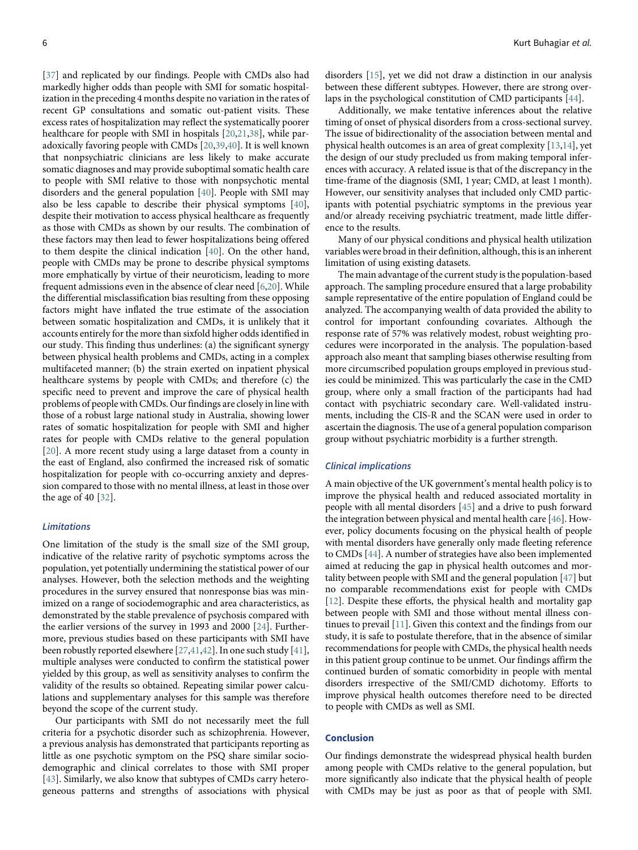[[37\]](#page-7-0) and replicated by our findings. People with CMDs also had markedly higher odds than people with SMI for somatic hospitalization in the preceding 4 months despite no variation in the rates of recent GP consultations and somatic out-patient visits. These excess rates of hospitalization may reflect the systematically poorer healthcare for people with SMI in hospitals [[20,](#page-6-19)[21,](#page-6-20)[38\]](#page-7-1), while paradoxically favoring people with CMDs [[20](#page-6-19)[,39](#page-7-2)[,40](#page-7-3)]. It is well known that nonpsychiatric clinicians are less likely to make accurate somatic diagnoses and may provide suboptimal somatic health care to people with SMI relative to those with nonpsychotic mental disorders and the general population [[40\]](#page-7-3). People with SMI may also be less capable to describe their physical symptoms [\[40](#page-7-3)], despite their motivation to access physical healthcare as frequently as those with CMDs as shown by our results. The combination of these factors may then lead to fewer hospitalizations being offered to them despite the clinical indication [[40\]](#page-7-3). On the other hand, people with CMDs may be prone to describe physical symptoms more emphatically by virtue of their neuroticism, leading to more frequent admissions even in the absence of clear need [[6](#page-6-5),[20\]](#page-6-19). While the differential misclassification bias resulting from these opposing factors might have inflated the true estimate of the association between somatic hospitalization and CMDs, it is unlikely that it accounts entirely for the more than sixfold higher odds identified in our study. This finding thus underlines: (a) the significant synergy between physical health problems and CMDs, acting in a complex multifaceted manner; (b) the strain exerted on inpatient physical healthcare systems by people with CMDs; and therefore (c) the specific need to prevent and improve the care of physical health problems of people with CMDs. Our findings are closely in line with those of a robust large national study in Australia, showing lower rates of somatic hospitalization for people with SMI and higher rates for people with CMDs relative to the general population [[20\]](#page-6-19). A more recent study using a large dataset from a county in the east of England, also confirmed the increased risk of somatic hospitalization for people with co-occurring anxiety and depression compared to those with no mental illness, at least in those over the age of 40 [[32\]](#page-6-31).

# Limitations

One limitation of the study is the small size of the SMI group, indicative of the relative rarity of psychotic symptoms across the population, yet potentially undermining the statistical power of our analyses. However, both the selection methods and the weighting procedures in the survey ensured that nonresponse bias was minimized on a range of sociodemographic and area characteristics, as demonstrated by the stable prevalence of psychosis compared with the earlier versions of the survey in 1993 and 2000 [[24\]](#page-6-23). Furthermore, previous studies based on these participants with SMI have been robustly reported elsewhere [[27,](#page-6-26)[41,](#page-7-4)[42\]](#page-7-5). In one such study [\[41](#page-7-4)], multiple analyses were conducted to confirm the statistical power yielded by this group, as well as sensitivity analyses to confirm the validity of the results so obtained. Repeating similar power calculations and supplementary analyses for this sample was therefore beyond the scope of the current study.

Our participants with SMI do not necessarily meet the full criteria for a psychotic disorder such as schizophrenia. However, a previous analysis has demonstrated that participants reporting as little as one psychotic symptom on the PSQ share similar sociodemographic and clinical correlates to those with SMI proper [[43\]](#page-7-6). Similarly, we also know that subtypes of CMDs carry heterogeneous patterns and strengths of associations with physical

disorders [\[15](#page-6-14)], yet we did not draw a distinction in our analysis between these different subtypes. However, there are strong overlaps in the psychological constitution of CMD participants [[44](#page-7-7)].

Additionally, we make tentative inferences about the relative timing of onset of physical disorders from a cross-sectional survey. The issue of bidirectionality of the association between mental and physical health outcomes is an area of great complexity [\[13](#page-6-12)[,14](#page-6-13)], yet the design of our study precluded us from making temporal inferences with accuracy. A related issue is that of the discrepancy in the time-frame of the diagnosis (SMI, 1 year; CMD, at least 1 month). However, our sensitivity analyses that included only CMD participants with potential psychiatric symptoms in the previous year and/or already receiving psychiatric treatment, made little difference to the results.

Many of our physical conditions and physical health utilization variables were broad in their definition, although, this is an inherent limitation of using existing datasets.

The main advantage of the current study is the population-based approach. The sampling procedure ensured that a large probability sample representative of the entire population of England could be analyzed. The accompanying wealth of data provided the ability to control for important confounding covariates. Although the response rate of 57% was relatively modest, robust weighting procedures were incorporated in the analysis. The population-based approach also meant that sampling biases otherwise resulting from more circumscribed population groups employed in previous studies could be minimized. This was particularly the case in the CMD group, where only a small fraction of the participants had had contact with psychiatric secondary care. Well-validated instruments, including the CIS-R and the SCAN were used in order to ascertain the diagnosis. The use of a general population comparison group without psychiatric morbidity is a further strength.

## Clinical implications

A main objective of the UK government's mental health policy is to improve the physical health and reduced associated mortality in people with all mental disorders [\[45\]](#page-7-3) and a drive to push forward the integration between physical and mental health care [[46](#page-7-8)]. However, policy documents focusing on the physical health of people with mental disorders have generally only made fleeting reference to CMDs [[44\]](#page-7-7). A number of strategies have also been implemented aimed at reducing the gap in physical health outcomes and mortality between people with SMI and the general population [\[47](#page-7-9)] but no comparable recommendations exist for people with CMDs [[12](#page-6-11)]. Despite these efforts, the physical health and mortality gap between people with SMI and those without mental illness continues to prevail [\[11](#page-6-10)]. Given this context and the findings from our study, it is safe to postulate therefore, that in the absence of similar recommendations for people with CMDs, the physical health needs in this patient group continue to be unmet. Our findings affirm the continued burden of somatic comorbidity in people with mental disorders irrespective of the SMI/CMD dichotomy. Efforts to improve physical health outcomes therefore need to be directed to people with CMDs as well as SMI.

### Conclusion

Our findings demonstrate the widespread physical health burden among people with CMDs relative to the general population, but more significantly also indicate that the physical health of people with CMDs may be just as poor as that of people with SMI.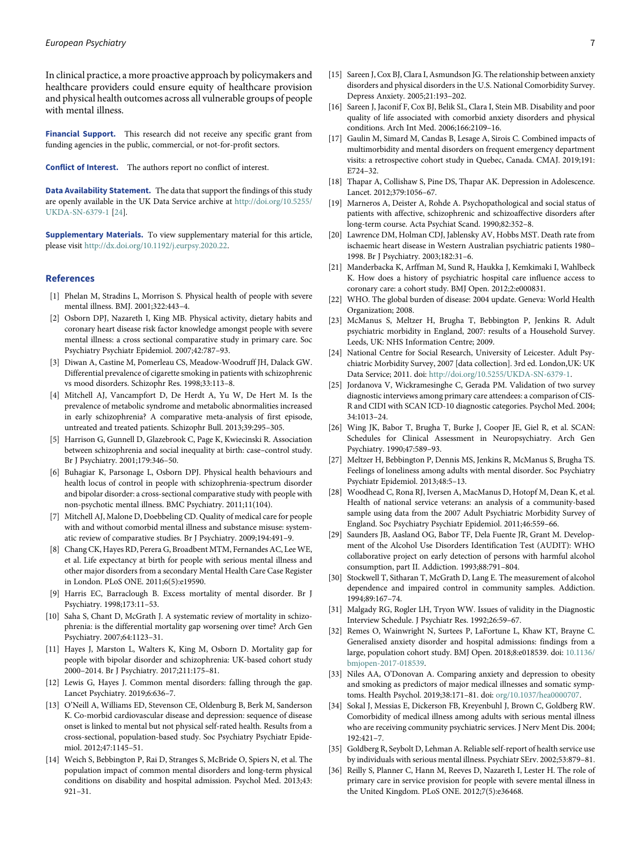<span id="page-6-15"></span><span id="page-6-14"></span>In clinical practice, a more proactive approach by policymakers and healthcare providers could ensure equity of healthcare provision and physical health outcomes across all vulnerable groups of people with mental illness.

<span id="page-6-16"></span>Financial Support. This research did not receive any specific grant from funding agencies in the public, commercial, or not-for-profit sectors.

<span id="page-6-17"></span>Conflict of Interest. The authors report no conflict of interest.

<span id="page-6-18"></span>Data Availability Statement. The data that support the findings of this study are openly available in the UK Data Service archive at [http://doi.org/10.5255/](http://doi.org/10.5255/UKDA-SN-6379-1) [UKDA-SN-6379-1](http://doi.org/10.5255/UKDA-SN-6379-1) [[24\]](#page-6-23).

<span id="page-6-19"></span>Supplementary Materials. To view supplementary material for this article, please visit <http://dx.doi.org/10.1192/j.eurpsy.2020.22>.

## <span id="page-6-21"></span><span id="page-6-20"></span><span id="page-6-0"></span>References

- [1] Phelan M, Stradins L, Morrison S. Physical health of people with severe mental illness. BMJ. 2001;322:443–4.
- <span id="page-6-22"></span><span id="page-6-1"></span>[2] Osborn DPJ, Nazareth I, King MB. Physical activity, dietary habits and coronary heart disease risk factor knowledge amongst people with severe mental illness: a cross sectional comparative study in primary care. Soc Psychiatry Psychiatr Epidemiol. 2007;42:787–93.
- <span id="page-6-23"></span><span id="page-6-2"></span>[3] Diwan A, Castine M, Pomerleau CS, Meadow-Woodruff JH, Dalack GW. Differential prevalence of cigarette smoking in patients with schizophrenic vs mood disorders. Schizophr Res. 1998;33:113–8.
- <span id="page-6-24"></span><span id="page-6-3"></span>Mitchell AJ, Vancampfort D, De Herdt A, Yu W, De Hert M. Is the prevalence of metabolic syndrome and metabolic abnormalities increased in early schizophrenia? A comparative meta-analysis of first episode, untreated and treated patients. Schizophr Bull. 2013;39:295–305.
- <span id="page-6-26"></span><span id="page-6-25"></span><span id="page-6-4"></span>[5] Harrison G, Gunnell D, Glazebrook C, Page K, Kwiecinski R. Association between schizophrenia and social inequality at birth: case–control study. Br J Psychiatry. 2001;179:346–50.
- <span id="page-6-27"></span><span id="page-6-5"></span>[6] Buhagiar K, Parsonage L, Osborn DPJ. Physical health behaviours and health locus of control in people with schizophrenia-spectrum disorder and bipolar disorder: a cross-sectional comparative study with people with non-psychotic mental illness. BMC Psychiatry. 2011;11(104).
- <span id="page-6-28"></span><span id="page-6-7"></span><span id="page-6-6"></span>[7] Mitchell AJ, Malone D, Doebbeling CD. Quality of medical care for people with and without comorbid mental illness and substance misuse: systematic review of comparative studies. Br J Psychiatry. 2009;194:491–9.
- [8] Chang CK, Hayes RD, Perera G, Broadbent MTM, Fernandes AC, Lee WE, et al. Life expectancy at birth for people with serious mental illness and other major disorders from a secondary Mental Health Care Case Register in London. PLoS ONE. 2011;6(5):e19590.
- <span id="page-6-29"></span><span id="page-6-9"></span><span id="page-6-8"></span>[9] Harris EC, Barraclough B. Excess mortality of mental disorder. Br J Psychiatry. 1998;173:11–53.
- <span id="page-6-31"></span><span id="page-6-30"></span><span id="page-6-10"></span>[10] Saha S, Chant D, McGrath J. A systematic review of mortality in schizophrenia: is the differential mortality gap worsening over time? Arch Gen Psychiatry. 2007;64:1123–31.
- <span id="page-6-11"></span>[11] Hayes J, Marston L, Walters K, King M, Osborn D. Mortality gap for people with bipolar disorder and schizophrenia: UK-based cohort study 2000–2014. Br J Psychiatry. 2017;211:175–81.
- <span id="page-6-32"></span><span id="page-6-12"></span>[12] Lewis G, Hayes J. Common mental disorders: falling through the gap. Lancet Psychiatry. 2019;6:636–7.
- <span id="page-6-33"></span>[13] O'Neill A, Williams ED, Stevenson CE, Oldenburg B, Berk M, Sanderson K. Co-morbid cardiovascular disease and depression: sequence of disease onset is linked to mental but not physical self-rated health. Results from a cross-sectional, population-based study. Soc Psychiatry Psychiatr Epidemiol. 2012;47:1145–51.
- <span id="page-6-35"></span><span id="page-6-34"></span><span id="page-6-13"></span>[14] Weich S, Bebbington P, Rai D, Stranges S, McBride O, Spiers N, et al. The population impact of common mental disorders and long-term physical conditions on disability and hospital admission. Psychol Med. 2013;43: 921–31.
- [15] Sareen J, Cox BJ, Clara I, Asmundson JG. The relationship between anxiety disorders and physical disorders in the U.S. National Comorbidity Survey. Depress Anxiety. 2005;21:193–202.
- [16] Sareen J, Jaconif F, Cox BJ, Belik SL, Clara I, Stein MB. Disability and poor quality of life associated with comorbid anxiety disorders and physical conditions. Arch Int Med. 2006;166:2109–16.
- [17] Gaulin M, Simard M, Candas B, Lesage A, Sirois C. Combined impacts of multimorbidity and mental disorders on frequent emergency department visits: a retrospective cohort study in Quebec, Canada. CMAJ. 2019;191: E724–32.
- [18] Thapar A, Collishaw S, Pine DS, Thapar AK. Depression in Adolescence. Lancet. 2012;379:1056–67.
- [19] Marneros A, Deister A, Rohde A. Psychopathological and social status of patients with affective, schizophrenic and schizoaffective disorders after long-term course. Acta Psychiat Scand. 1990;82:352–8.
- [20] Lawrence DM, Holman CDJ, Jablensky AV, Hobbs MST. Death rate from ischaemic heart disease in Western Australian psychiatric patients 1980– 1998. Br J Psychiatry. 2003;182:31–6.
- [21] Manderbacka K, Arffman M, Sund R, Haukka J, Kemkimaki I, Wahlbeck K. How does a history of psychiatric hospital care influence access to coronary care: a cohort study. BMJ Open. 2012;2:e000831.
- [22] WHO. The global burden of disease: 2004 update. Geneva: World Health Organization; 2008.
- [23] McManus S, Meltzer H, Brugha T, Bebbington P, Jenkins R. Adult psychiatric morbidity in England, 2007: results of a Household Survey. Leeds, UK: NHS Information Centre; 2009.
- [24] National Centre for Social Research, University of Leicester. Adult Psychiatric Morbidity Survey, 2007 [data collection]. 3rd ed. London,UK: UK Data Service; 2011. doi: [http://doi.org/10.5255/UKDA-SN-6379-1.](https://doi.org/http://doi.org/10.5255/UKDA-SN-6379-1)
- [25] Jordanova V, Wickramesinghe C, Gerada PM. Validation of two survey diagnostic interviews among primary care attendees: a comparison of CIS-R and CIDI with SCAN ICD-10 diagnostic categories. Psychol Med. 2004; 34:1013–24.
- [26] Wing JK, Babor T, Brugha T, Burke J, Cooper JE, Giel R, et al. SCAN: Schedules for Clinical Assessment in Neuropsychiatry. Arch Gen Psychiatry. 1990;47:589–93.
- [27] Meltzer H, Bebbington P, Dennis MS, Jenkins R, McManus S, Brugha TS. Feelings of loneliness among adults with mental disorder. Soc Psychiatry Psychiatr Epidemiol. 2013;48:5–13.
- [28] Woodhead C, Rona RJ, Iversen A, MacManus D, Hotopf M, Dean K, et al. Health of national service veterans: an analysis of a community-based sample using data from the 2007 Adult Psychiatric Morbidity Survey of England. Soc Psychiatry Psychiatr Epidemiol. 2011;46:559–66.
- [29] Saunders JB, Aasland OG, Babor TF, Dela Fuente JR, Grant M. Development of the Alcohol Use Disorders Identification Test (AUDIT): WHO collaborative project on early detection of persons with harmful alcohol consumption, part II. Addiction. 1993;88:791–804.
- [30] Stockwell T, Sitharan T, McGrath D, Lang E. The measurement of alcohol dependence and impaired control in community samples. Addiction. 1994;89:167–74.
- [31] Malgady RG, Rogler LH, Tryon WW. Issues of validity in the Diagnostic Interview Schedule. J Psychiatr Res. 1992;26:59–67.
- [32] Remes O, Wainwright N, Surtees P, LaFortune L, Khaw KT, Brayne C. Generalised anxiety disorder and hospital admissions: findings from a large, population cohort study. BMJ Open. 2018;8:e018539. doi: [10.1136/](https://doi.org/10.1136/bmjopen-2017-018539) [bmjopen-2017-018539](https://doi.org/10.1136/bmjopen-2017-018539).
- [33] Niles AA, O'Donovan A. Comparing anxiety and depression to obesity and smoking as predictors of major medical illnesses and somatic symptoms. Health Psychol. 2019;38:171–81. doi: [org/10.1037/hea0000707](https://doi.org/org/10.1037/hea0000707).
- [34] Sokal J, Messias E, Dickerson FB, Kreyenbuhl J, Brown C, Goldberg RW. Comorbidity of medical illness among adults with serious mental illness who are receiving community psychiatric services. J Nerv Ment Dis. 2004; 192:421–7.
- [35] Goldberg R, Seybolt D, Lehman A. Reliable self-report of health service use by individuals with serious mental illness. Psychiatr SErv. 2002;53:879–81.
- [36] Reilly S, Planner C, Hann M, Reeves D, Nazareth I, Lester H. The role of primary care in service provision for people with severe mental illness in the United Kingdom. PLoS ONE. 2012;7(5):e36468.